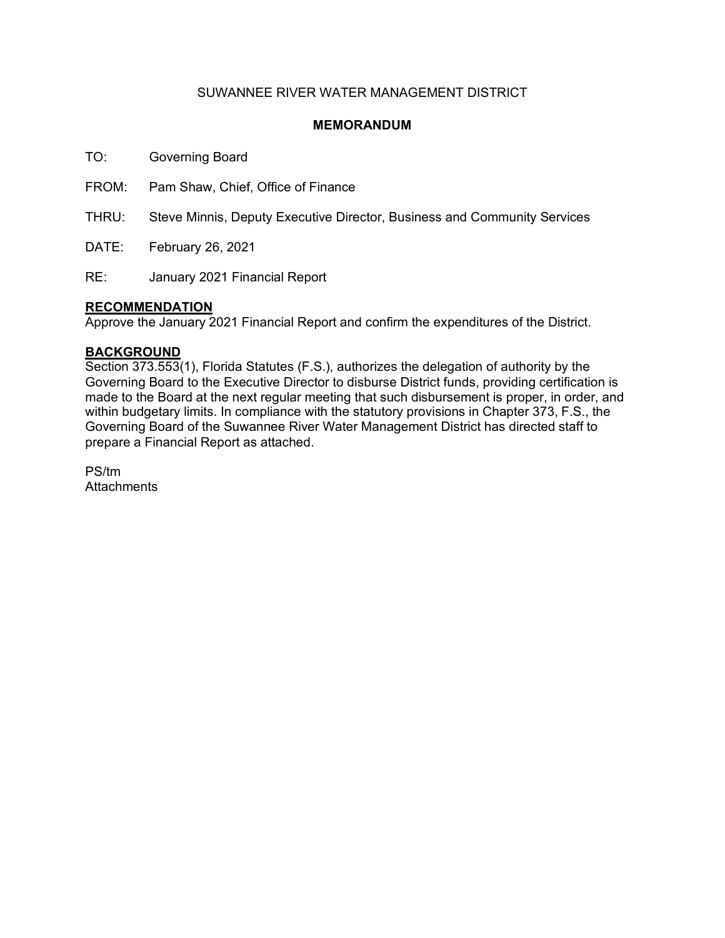# SUWANNEE RIVER WATER MANAGEMENT DISTRICT

## **MEMORANDUM**

TO: Governing Board

FROM: Pam Shaw, Chief, Office of Finance

THRU: Steve Minnis, Deputy Executive Director, Business and Community Services

DATE: February 26, 2021

RE: January 2021 Financial Report

## **RECOMMENDATION**

Approve the January 2021 Financial Report and confirm the expenditures of the District.

### **BACKGROUND**

Section 373.553(1), Florida Statutes (F.S.), authorizes the delegation of authority by the Governing Board to the Executive Director to disburse District funds, providing certification is made to the Board at the next regular meeting that such disbursement is proper, in order, and within budgetary limits. In compliance with the statutory provisions in Chapter 373, F.S., the Governing Board of the Suwannee River Water Management District has directed staff to prepare a Financial Report as attached.

PS/tm **Attachments**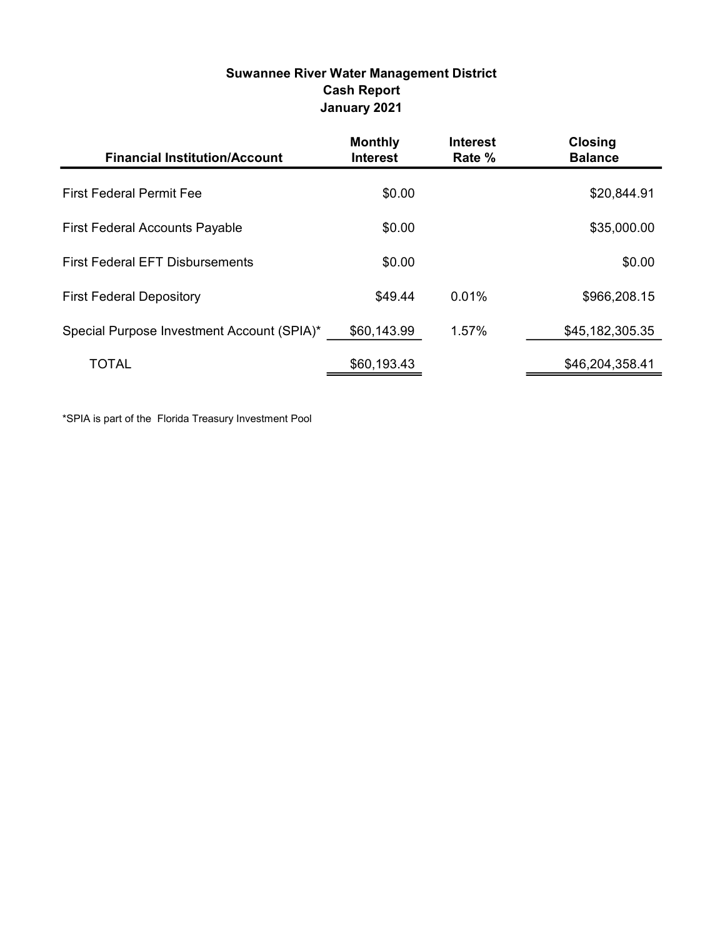# Suwannee River Water Management District Cash Report January 2021

| <b>Financial Institution/Account</b>       | <b>Monthly</b><br><b>Interest</b> | <b>Interest</b><br>Rate % | <b>Closing</b><br><b>Balance</b> |
|--------------------------------------------|-----------------------------------|---------------------------|----------------------------------|
| <b>First Federal Permit Fee</b>            | \$0.00                            |                           | \$20,844.91                      |
| <b>First Federal Accounts Payable</b>      | \$0.00                            |                           | \$35,000.00                      |
| <b>First Federal EFT Disbursements</b>     | \$0.00                            |                           | \$0.00                           |
| <b>First Federal Depository</b>            | \$49.44                           | 0.01%                     | \$966,208.15                     |
| Special Purpose Investment Account (SPIA)* | \$60,143.99                       | 1.57%                     | \$45,182,305.35                  |
| <b>TOTAL</b>                               | \$60,193.43                       |                           | \$46,204,358.41                  |

\*SPIA is part of the Florida Treasury Investment Pool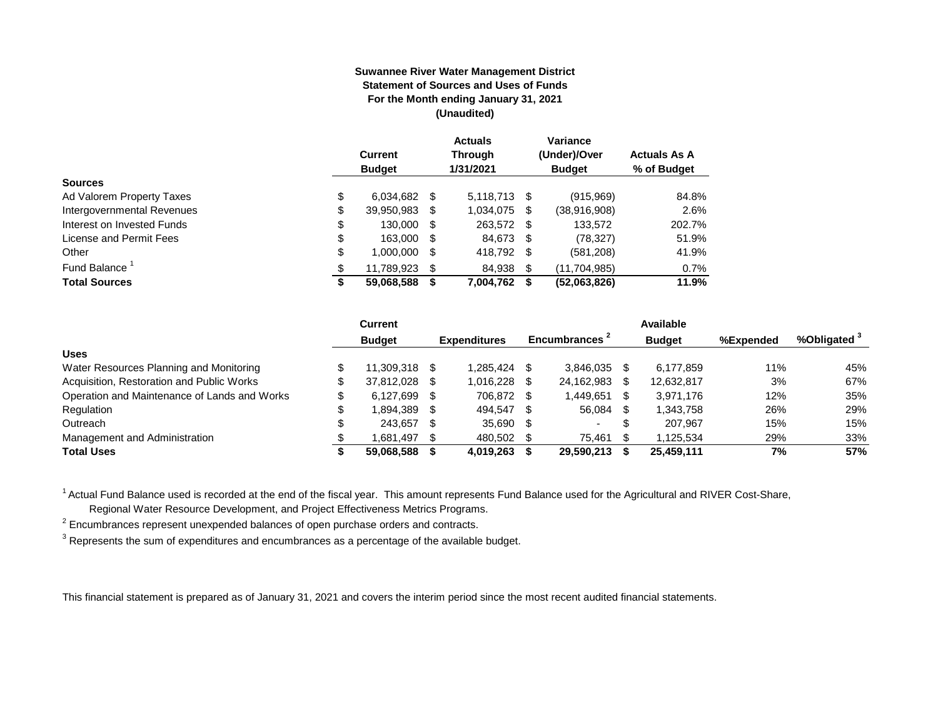#### **Suwannee River Water Management District Statement of Sources and Uses of Funds For the Month ending January 31, 2021 (Unaudited)**

|                                  | <b>Current</b><br><b>Budget</b> |      | <b>Actuals</b><br><b>Through</b><br>1/31/2021 |      | Variance<br>(Under)/Over<br><b>Budget</b> | <b>Actuals As A</b><br>% of Budget |
|----------------------------------|---------------------------------|------|-----------------------------------------------|------|-------------------------------------------|------------------------------------|
| <b>Sources</b>                   |                                 |      |                                               |      |                                           |                                    |
| \$<br>Ad Valorem Property Taxes  | 6,034,682                       | - \$ | 5,118,713 \$                                  |      | (915,969)                                 | 84.8%                              |
| Intergovernmental Revenues<br>\$ | 39,950,983                      | S    | 1,034,075                                     | \$   | (38,916,908)                              | 2.6%                               |
| \$<br>Interest on Invested Funds | 130.000                         | - \$ | 263,572 \$                                    |      | 133,572                                   | 202.7%                             |
| \$<br>License and Permit Fees    | 163,000                         | - \$ | 84,673                                        | - \$ | (78, 327)                                 | 51.9%                              |
| \$<br>Other                      | 1,000,000                       | S    | 418,792                                       | -\$  | (581, 208)                                | 41.9%                              |
| Fund Balance<br>\$               | 11.789.923                      | S    | 84,938                                        | \$   | (11, 704, 985)                            | 0.7%                               |
| <b>Total Sources</b><br>\$       | 59,068,588                      |      | 7,004,762                                     | S    | (52,063,826)                              | 11.9%                              |

|                                              |    | <b>Current</b> |      |                     |      |                |     | <b>Available</b> |           |                         |
|----------------------------------------------|----|----------------|------|---------------------|------|----------------|-----|------------------|-----------|-------------------------|
|                                              |    | <b>Budget</b>  |      | <b>Expenditures</b> |      | Encumbrances - |     | <b>Budget</b>    | %Expended | %Obligated <sup>3</sup> |
| <b>Uses</b>                                  |    |                |      |                     |      |                |     |                  |           |                         |
| Water Resources Planning and Monitoring      |    | 11.309.318     | - \$ | 1.285.424           |      | 3.846.035      |     | 6,177,859        | 11%       | 45%                     |
| Acquisition, Restoration and Public Works    | Œ  | 37.812.028     | - \$ | 1.016.228           |      | 24.162.983     |     | 12.632.817       | 3%        | 67%                     |
| Operation and Maintenance of Lands and Works | S. | 6.127.699      | - \$ | 706.872             |      | .449,651       |     | 3,971,176        | 12%       | 35%                     |
| Regulation                                   |    | 1,894,389      | - \$ | 494,547             |      | 56.084         |     | 1,343,758        | 26%       | 29%                     |
| Outreach                                     |    | 243.657        | - \$ | 35,690              | - 55 |                | จ   | 207.967          | 15%       | 15%                     |
| Management and Administration                |    | 1.681.497      | - \$ | 480.502             |      | 75.461         | \$. | 1.125.534        | 29%       | 33%                     |
| <b>Total Uses</b>                            |    | 59.068.588     |      | 4.019.263           |      | 29,590,213     |     | 25,459,111       | 7%        | 57%                     |

<sup>1</sup> Actual Fund Balance used is recorded at the end of the fiscal year. This amount represents Fund Balance used for the Agricultural and RIVER Cost-Share,

Regional Water Resource Development, and Project Effectiveness Metrics Programs.

 $2$  Encumbrances represent unexpended balances of open purchase orders and contracts.

 $^3$  Represents the sum of expenditures and encumbrances as a percentage of the available budget.

This financial statement is prepared as of January 31, 2021 and covers the interim period since the most recent audited financial statements.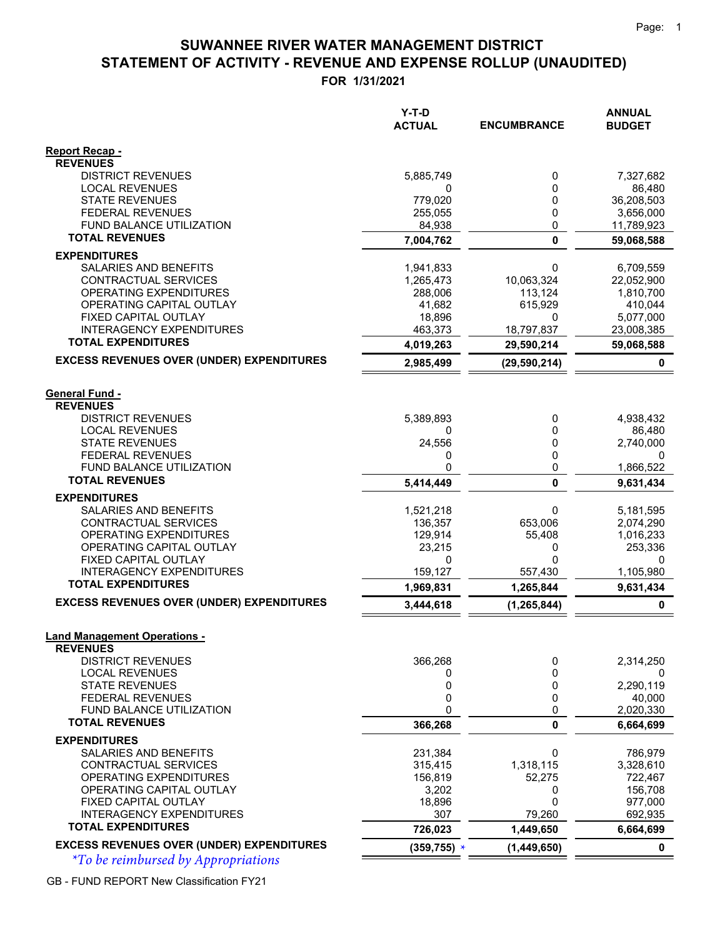# **STATEMENT OF ACTIVITY - REVENUE AND EXPENSE ROLLUP (UNAUDITED) SUWANNEE RIVER WATER MANAGEMENT DISTRICT**

**FOR 1/31/2021**

|                                                              | $Y-T-D$           |                    | <b>ANNUAL</b>        |
|--------------------------------------------------------------|-------------------|--------------------|----------------------|
|                                                              | <b>ACTUAL</b>     | <b>ENCUMBRANCE</b> | <b>BUDGET</b>        |
| <b>Report Recap -</b>                                        |                   |                    |                      |
| <b>REVENUES</b>                                              |                   |                    |                      |
| <b>DISTRICT REVENUES</b>                                     | 5,885,749<br>0    | 0                  | 7,327,682            |
| <b>LOCAL REVENUES</b><br><b>STATE REVENUES</b>               | 779,020           | 0<br>0             | 86,480<br>36,208,503 |
| <b>FEDERAL REVENUES</b>                                      | 255,055           | 0                  | 3,656,000            |
| FUND BALANCE UTILIZATION                                     | 84,938            | 0                  | 11,789,923           |
| <b>TOTAL REVENUES</b>                                        | 7,004,762         | 0                  | 59,068,588           |
| <b>EXPENDITURES</b>                                          |                   |                    |                      |
| SALARIES AND BENEFITS                                        | 1,941,833         | 0                  | 6,709,559            |
| CONTRACTUAL SERVICES                                         | 1,265,473         | 10,063,324         | 22,052,900           |
| OPERATING EXPENDITURES                                       | 288,006           | 113,124            | 1,810,700            |
| OPERATING CAPITAL OUTLAY                                     | 41,682            | 615,929            | 410,044              |
| FIXED CAPITAL OUTLAY                                         | 18,896            | 0                  | 5,077,000            |
| <b>INTERAGENCY EXPENDITURES</b><br><b>TOTAL EXPENDITURES</b> | 463,373           | 18,797,837         | 23,008,385           |
|                                                              | 4,019,263         | 29,590,214         | 59,068,588           |
| <b>EXCESS REVENUES OVER (UNDER) EXPENDITURES</b>             | 2,985,499         | (29, 590, 214)     | 0                    |
| <b>General Fund -</b>                                        |                   |                    |                      |
| <b>REVENUES</b>                                              |                   |                    |                      |
| <b>DISTRICT REVENUES</b>                                     | 5,389,893         | 0                  | 4,938,432            |
| <b>LOCAL REVENUES</b>                                        | 0                 | 0                  | 86,480               |
| <b>STATE REVENUES</b>                                        | 24,556            | 0                  | 2,740,000            |
| <b>FEDERAL REVENUES</b>                                      | 0                 | 0                  | 0                    |
| <b>FUND BALANCE UTILIZATION</b>                              | 0                 | 0                  | 1,866,522            |
| <b>TOTAL REVENUES</b>                                        | 5,414,449         | 0                  | 9,631,434            |
| <b>EXPENDITURES</b>                                          |                   |                    |                      |
| SALARIES AND BENEFITS                                        | 1,521,218         | 0                  | 5,181,595            |
| CONTRACTUAL SERVICES                                         | 136,357           | 653,006            | 2,074,290            |
| OPERATING EXPENDITURES                                       | 129,914           | 55,408             | 1,016,233            |
| OPERATING CAPITAL OUTLAY                                     | 23,215            | 0                  | 253,336              |
| FIXED CAPITAL OUTLAY<br><b>INTERAGENCY EXPENDITURES</b>      | 0<br>159,127      | 0<br>557,430       | 0<br>1,105,980       |
| <b>TOTAL EXPENDITURES</b>                                    | 1,969,831         | 1,265,844          | 9,631,434            |
| <b>EXCESS REVENUES OVER (UNDER) EXPENDITURES</b>             | 3,444,618         | (1, 265, 844)      | $\pmb{0}$            |
|                                                              |                   |                    |                      |
| <b>Land Management Operations -</b>                          |                   |                    |                      |
| <b>REVENUES</b>                                              |                   |                    |                      |
| <b>DISTRICT REVENUES</b>                                     | 366,268           | 0                  | 2,314,250            |
| <b>LOCAL REVENUES</b>                                        | 0                 | 0                  | 0                    |
| <b>STATE REVENUES</b>                                        | 0                 | 0                  | 2,290,119            |
| <b>FEDERAL REVENUES</b><br><b>FUND BALANCE UTILIZATION</b>   | 0<br>$\mathbf{0}$ | 0<br>0             | 40,000<br>2,020,330  |
| <b>TOTAL REVENUES</b>                                        | 366,268           | 0                  | 6,664,699            |
| <b>EXPENDITURES</b>                                          |                   |                    |                      |
| <b>SALARIES AND BENEFITS</b>                                 | 231,384           | 0                  | 786,979              |
| CONTRACTUAL SERVICES                                         | 315,415           | 1,318,115          | 3,328,610            |
| OPERATING EXPENDITURES                                       | 156,819           | 52,275             | 722,467              |
| OPERATING CAPITAL OUTLAY                                     | 3,202             | 0                  | 156,708              |
| FIXED CAPITAL OUTLAY                                         | 18,896            | 0                  | 977,000              |
| <b>INTERAGENCY EXPENDITURES</b>                              | 307               | 79,260             | 692,935              |
| <b>TOTAL EXPENDITURES</b>                                    | 726,023           | 1,449,650          | 6,664,699            |
| <b>EXCESS REVENUES OVER (UNDER) EXPENDITURES</b>             | $(359, 755)$ *    | (1,449,650)        | 0                    |

*\*To be reimbursed by Appropriations \**

GB - FUND REPORT New Classification FY21